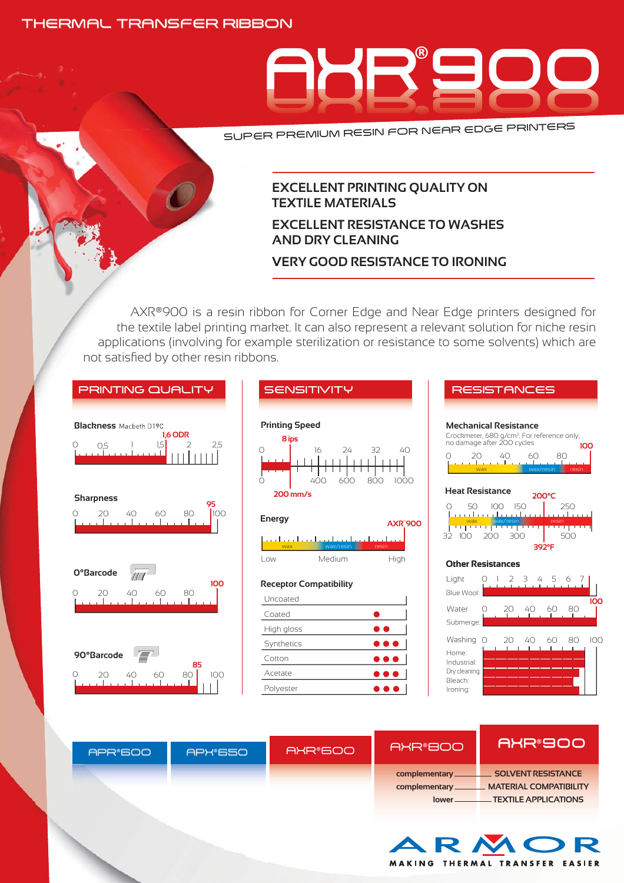# THERMAL TRANSFER RIBBON



SUPER PREMIUM RESIN FOR NEAR EDGE PRINTERS

# **EXCELLENT PRINTING QUALITY ON TEXTILE MATERIALS**

# **EXCELLENT RESISTANCE TO WASHES AND DRY CLEANING**

# **VERY GOOD RESISTANCE TO IRONING**

AXR®900 is a resin ribbon for Corner Edge and Near Edge printers designed for the textile label printing market. It can also represent a relevant solution for niche resin applications (involving for example sterilization or resistance to some solvents) which are not satisfied by other resin ribbons.



**MATERIAL COMPATIBILITY TEXTILE APPLICATIONS**

MAKING THERMAL TRANSFER EASIER

**complementary lower**